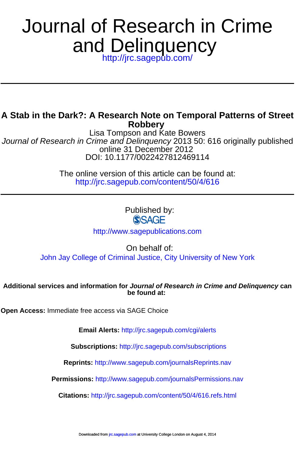# and Delinquency Journal of Research in Crime

<http://jrc.sagepub.com/>

**Robbery A Stab in the Dark?: A Research Note on Temporal Patterns of Street**

DOI: 10.1177/0022427812469114 online 31 December 2012 Journal of Research in Crime and Delinguency 2013 50: 616 originally published Lisa Tompson and Kate Bowers

> <http://jrc.sagepub.com/content/50/4/616> The online version of this article can be found at:

> > Published by:<br>
> > SAGE

<http://www.sagepublications.com>

On behalf of: [John Jay College of Criminal Justice, City University of New York](http://www.newark.rutgers.edu/rscj/index.shtml)

**be found at: Additional services and information for Journal of Research in Crime and Delinquency can**

**Open Access:** Immediate free access via SAGE Choice

**Email Alerts:** <http://jrc.sagepub.com/cgi/alerts>

**Subscriptions:** <http://jrc.sagepub.com/subscriptions>

**Reprints:** <http://www.sagepub.com/journalsReprints.nav>

**Permissions:** <http://www.sagepub.com/journalsPermissions.nav>

**Citations:** <http://jrc.sagepub.com/content/50/4/616.refs.html>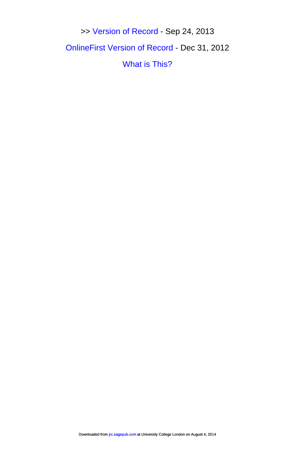[What is This?](http://online.sagepub.com/site/sphelp/vorhelp.xhtml) [OnlineFirst Version of Record -](http://jrc.sagepub.com/content/early/2012/12/20/0022427812469114.full.pdf) Dec 31, 2012 >> [Version of Record -](http://jrc.sagepub.com/content/50/4/616.full.pdf) Sep 24, 2013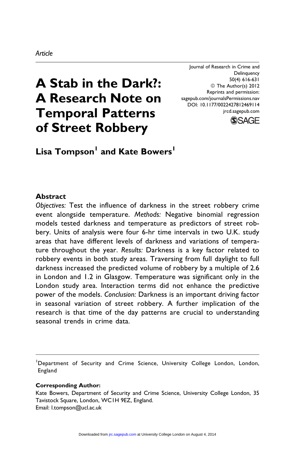#### Article

Journal of Research in Crime and **Delinquency** 50(4) 616-631 © The Author(s) 2012 Reprints and permission: [sagepub.com/journalsPermissions.nav](http://www.sagepub.com/journalsPermissions.nav) DOI: 10.1177/0022427812469114 [jrcd.sagepub.com](http://jrcd.sagepub.com)



# A Stab in the Dark?: A Research Note on Temporal Patterns of Street Robbery

Lisa Tompson<sup>1</sup> and Kate Bowers<sup>1</sup>

#### **Abstract**

Objectives: Test the influence of darkness in the street robbery crime event alongside temperature. Methods: Negative binomial regression models tested darkness and temperature as predictors of street robbery. Units of analysis were four 6-hr time intervals in two U.K. study areas that have different levels of darkness and variations of temperature throughout the year. Results: Darkness is a key factor related to robbery events in both study areas. Traversing from full daylight to full darkness increased the predicted volume of robbery by a multiple of 2.6 in London and 1.2 in Glasgow. Temperature was significant only in the London study area. Interaction terms did not enhance the predictive power of the models. Conclusion: Darkness is an important driving factor in seasonal variation of street robbery. A further implication of the research is that time of the day patterns are crucial to understanding seasonal trends in crime data.

<sup>1</sup>Department of Security and Crime Science, University College London, London, England

#### Corresponding Author:

Kate Bowers, Department of Security and Crime Science, University College London, 35 Tavistock Square, London, WC1H 9EZ, England. Email: l.tompson@ucl.ac.uk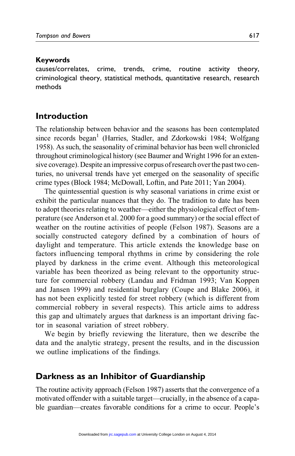#### Keywords

causes/correlates, crime, trends, crime, routine activity theory, criminological theory, statistical methods, quantitative research, research methods

# Introduction

The relationship between behavior and the seasons has been contemplated since records began<sup>1</sup> (Harries, Stadler, and Zdorkowski 1984; Wolfgang 1958). As such, the seasonality of criminal behavior has been well chronicled throughout criminological history (see Baumer and Wright 1996 for an extensive coverage). Despite animpressive corpus of research over the past two centuries, no universal trends have yet emerged on the seasonality of specific crime types (Block 1984; McDowall, Loftin, and Pate 2011; Yan 2004).

The quintessential question is why seasonal variations in crime exist or exhibit the particular nuances that they do. The tradition to date has been to adopt theories relating to weather—either the physiological effect of temperature (see Anderson et al. 2000 for a good summary) or the social effect of weather on the routine activities of people (Felson 1987). Seasons are a socially constructed category defined by a combination of hours of daylight and temperature. This article extends the knowledge base on factors influencing temporal rhythms in crime by considering the role played by darkness in the crime event. Although this meteorological variable has been theorized as being relevant to the opportunity structure for commercial robbery (Landau and Fridman 1993; Van Koppen and Jansen 1999) and residential burglary (Coupe and Blake 2006), it has not been explicitly tested for street robbery (which is different from commercial robbery in several respects). This article aims to address this gap and ultimately argues that darkness is an important driving factor in seasonal variation of street robbery.

We begin by briefly reviewing the literature, then we describe the data and the analytic strategy, present the results, and in the discussion we outline implications of the findings.

## Darkness as an Inhibitor of Guardianship

The routine activity approach (Felson 1987) asserts that the convergence of a motivated offender with a suitable target—crucially, in the absence of a capable guardian—creates favorable conditions for a crime to occur. People's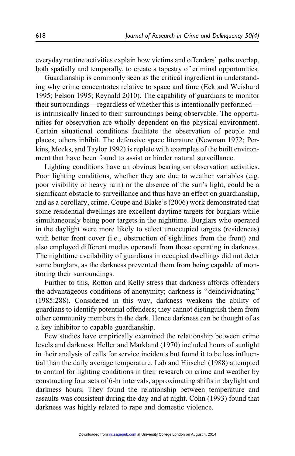everyday routine activities explain how victims and offenders' paths overlap, both spatially and temporally, to create a tapestry of criminal opportunities.

Guardianship is commonly seen as the critical ingredient in understanding why crime concentrates relative to space and time (Eck and Weisburd 1995; Felson 1995; Reynald 2010). The capability of guardians to monitor their surroundings—regardless of whether this is intentionally performed is intrinsically linked to their surroundings being observable. The opportunities for observation are wholly dependent on the physical environment. Certain situational conditions facilitate the observation of people and places, others inhibit. The defensive space literature (Newman 1972; Perkins, Meeks, and Taylor 1992) is replete with examples of the built environment that have been found to assist or hinder natural surveillance.

Lighting conditions have an obvious bearing on observation activities. Poor lighting conditions, whether they are due to weather variables (e.g. poor visibility or heavy rain) or the absence of the sun's light, could be a significant obstacle to surveillance and thus have an effect on guardianship, and as a corollary, crime. Coupe and Blake's (2006) work demonstrated that some residential dwellings are excellent daytime targets for burglars while simultaneously being poor targets in the nighttime. Burglars who operated in the daylight were more likely to select unoccupied targets (residences) with better front cover (i.e., obstruction of sightlines from the front) and also employed different modus operandi from those operating in darkness. The nighttime availability of guardians in occupied dwellings did not deter some burglars, as the darkness prevented them from being capable of monitoring their surroundings.

Further to this, Rotton and Kelly stress that darkness affords offenders the advantageous conditions of anonymity; darkness is ''deindividuating'' (1985:288). Considered in this way, darkness weakens the ability of guardians to identify potential offenders; they cannot distinguish them from other community members in the dark. Hence darkness can be thought of as a key inhibitor to capable guardianship.

Few studies have empirically examined the relationship between crime levels and darkness. Heller and Markland (1970) included hours of sunlight in their analysis of calls for service incidents but found it to be less influential than the daily average temperature. Lab and Hirschel (1988) attempted to control for lighting conditions in their research on crime and weather by constructing four sets of 6-hr intervals, approximating shifts in daylight and darkness hours. They found the relationship between temperature and assaults was consistent during the day and at night. Cohn (1993) found that darkness was highly related to rape and domestic violence.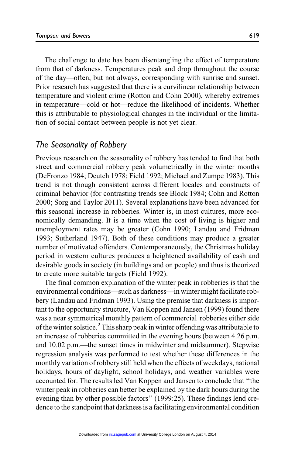The challenge to date has been disentangling the effect of temperature from that of darkness. Temperatures peak and drop throughout the course of the day—often, but not always, corresponding with sunrise and sunset. Prior research has suggested that there is a curvilinear relationship between temperature and violent crime (Rotton and Cohn 2000), whereby extremes in temperature—cold or hot—reduce the likelihood of incidents. Whether this is attributable to physiological changes in the individual or the limitation of social contact between people is not yet clear.

# The Seasonality of Robbery

Previous research on the seasonality of robbery has tended to find that both street and commercial robbery peak volumetrically in the winter months (DeFronzo 1984; Deutch 1978; Field 1992; Michael and Zumpe 1983). This trend is not though consistent across different locales and constructs of criminal behavior (for contrasting trends see Block 1984; Cohn and Rotton 2000; Sorg and Taylor 2011). Several explanations have been advanced for this seasonal increase in robberies. Winter is, in most cultures, more economically demanding. It is a time when the cost of living is higher and unemployment rates may be greater (Cohn 1990; Landau and Fridman 1993; Sutherland 1947). Both of these conditions may produce a greater number of motivated offenders. Contemporaneously, the Christmas holiday period in western cultures produces a heightened availability of cash and desirable goods in society (in buildings and on people) and thus is theorized to create more suitable targets (Field 1992).

The final common explanation of the winter peak in robberies is that the environmental conditions—such as darkness—in winter might facilitate robbery (Landau and Fridman 1993). Using the premise that darkness is important to the opportunity structure, Van Koppen and Jansen (1999) found there was a near symmetrical monthly pattern of commercial robberies either side of the winter solstice.<sup>2</sup> This sharp peak in winter offending was attributable to an increase of robberies committed in the evening hours (between 4.26 p.m. and 10.02 p.m.—the sunset times in midwinter and midsummer). Stepwise regression analysis was performed to test whether these differences in the monthly variation of robbery still held when the effects of weekdays, national holidays, hours of daylight, school holidays, and weather variables were accounted for. The results led Van Koppen and Jansen to conclude that ''the winter peak in robberies can better be explained by the dark hours during the evening than by other possible factors'' (1999:25). These findings lend credence to the standpoint that darkness is a facilitating environmental condition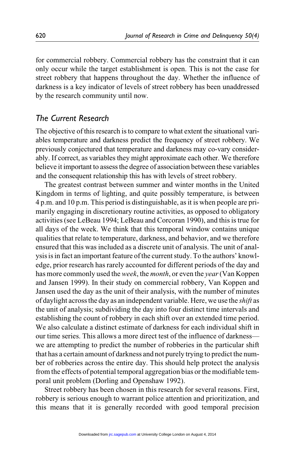for commercial robbery. Commercial robbery has the constraint that it can only occur while the target establishment is open. This is not the case for street robbery that happens throughout the day. Whether the influence of darkness is a key indicator of levels of street robbery has been unaddressed by the research community until now.

# The Current Research

The objective of this research is to compare to what extent the situational variables temperature and darkness predict the frequency of street robbery. We previously conjectured that temperature and darkness may co-vary considerably. If correct, as variables they might approximate each other. We therefore believe it important to assess the degree of association between these variables and the consequent relationship this has with levels of street robbery.

The greatest contrast between summer and winter months in the United Kingdom in terms of lighting, and quite possibly temperature, is between 4 p.m. and 10 p.m. This period is distinguishable, as it is when people are primarily engaging in discretionary routine activities, as opposed to obligatory activities (see LeBeau 1994; LeBeau and Corcoran 1990), and this is true for all days of the week. We think that this temporal window contains unique qualities that relate to temperature, darkness, and behavior, and we therefore ensured that this was included as a discrete unit of analysis. The unit of analysis is in fact an important feature of the current study. To the authors' knowledge, prior research has rarely accounted for different periods of the day and has more commonly used the *week*, the *month*, or even the *year* (Van Koppen and Jansen 1999). In their study on commercial robbery, Van Koppen and Jansen used the day as the unit of their analysis, with the number of minutes of daylight across the day as an independent variable. Here, we use the shift as the unit of analysis; subdividing the day into four distinct time intervals and establishing the count of robbery in each shift over an extended time period. We also calculate a distinct estimate of darkness for each individual shift in our time series. This allows a more direct test of the influence of darkness we are attempting to predict the number of robberies in the particular shift that has a certain amount of darkness and not purely trying to predict the number of robberies across the entire day. This should help protect the analysis from the effects of potential temporal aggregation bias or the modifiable temporal unit problem (Dorling and Openshaw 1992).

Street robbery has been chosen in this research for several reasons. First, robbery is serious enough to warrant police attention and prioritization, and this means that it is generally recorded with good temporal precision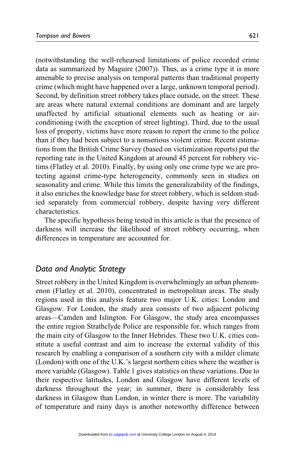(notwithstanding the well-rehearsed limitations of police recorded crime data as summarized by Maguire (2007)). Thus, as a crime type it is more amenable to precise analysis on temporal patterns than traditional property crime (which might have happened over a large, unknown temporal period). Second, by definition street robbery takes place outside, on the street. These are areas where natural external conditions are dominant and are largely unaffected by artificial situational elements such as heating or airconditioning (with the exception of street lighting). Third, due to the usual loss of property, victims have more reason to report the crime to the police than if they had been subject to a nonserious violent crime. Recent estimations from the British Crime Survey (based on victimization reports) put the reporting rate in the United Kingdom at around 45 percent for robbery victims (Flatley et al. 2010). Finally, by using only one crime type we are protecting against crime-type heterogeneity, commonly seen in studies on seasonality and crime. While this limits the generalizability of the findings, it also enriches the knowledge base for street robbery, which is seldom studied separately from commercial robbery, despite having very different characteristics.

The specific hypothesis being tested in this article is that the presence of darkness will increase the likelihood of street robbery occurring, when differences in temperature are accounted for.

# Data and Analytic Strategy

Street robbery in the United Kingdom is overwhelmingly an urban phenomenon (Flatley et al. 2010), concentrated in metropolitan areas. The study regions used in this analysis feature two major U.K. cities: London and Glasgow. For London, the study area consists of two adjacent policing areas—Camden and Islington. For Glasgow, the study area encompasses the entire region Strathclyde Police are responsible for, which ranges from the main city of Glasgow to the Inner Hebrides. These two U.K. cities constitute a useful contrast and aim to increase the external validity of this research by enabling a comparison of a southern city with a milder climate (London) with one of the U.K.'s largest northern cities where the weather is more variable (Glasgow). Table 1 gives statistics on these variations. Due to their respective latitudes, London and Glasgow have different levels of darkness throughout the year; in summer, there is considerably less darkness in Glasgow than London, in winter there is more. The variability of temperature and rainy days is another noteworthy difference between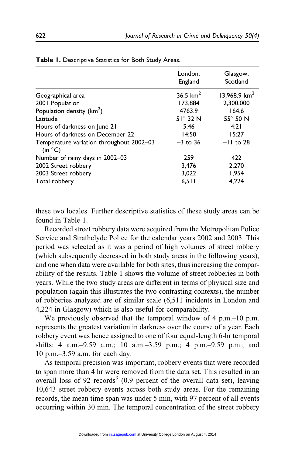|                                                     | London.<br>England | Glasgow,<br>Scotland       |
|-----------------------------------------------------|--------------------|----------------------------|
| Geographical area                                   | 36.5 $km2$         | $13,968.9$ km <sup>2</sup> |
| 2001 Population                                     | 173,884            | 2,300,000                  |
| Population density ( $km^2$ )                       | 4763.9             | 164.6                      |
| Latitude                                            | $51^\circ$ 32 N    | $55^\circ$ 50 N            |
| Hours of darkness on June 21                        | 5:46               | 4:21                       |
| Hours of darkness on December 22                    | 14:50              | 15:27                      |
| Temperature variation throughout 2002-03<br>(in °C) | $-3$ to 36         | $-11$ to 28                |
| Number of rainy days in 2002-03                     | 259                | 422                        |
| 2002 Street robbery                                 | 3.476              | 2.270                      |
| 2003 Street robbery                                 | 3.022              | 1.954                      |
| Total robbery                                       | 6,511              | 4.224                      |

| Table 1. Descriptive Statistics for Both Study Areas. |  |
|-------------------------------------------------------|--|
|-------------------------------------------------------|--|

these two locales. Further descriptive statistics of these study areas can be found in Table 1.

Recorded street robbery data were acquired from the Metropolitan Police Service and Strathclyde Police for the calendar years 2002 and 2003. This period was selected as it was a period of high volumes of street robbery (which subsequently decreased in both study areas in the following years), and one when data were available for both sites, thus increasing the comparability of the results. Table 1 shows the volume of street robberies in both years. While the two study areas are different in terms of physical size and population (again this illustrates the two contrasting contexts), the number of robberies analyzed are of similar scale (6,511 incidents in London and 4,224 in Glasgow) which is also useful for comparability.

We previously observed that the temporal window of 4 p.m.–10 p.m. represents the greatest variation in darkness over the course of a year. Each robbery event was hence assigned to one of four equal-length 6-hr temporal shifts: 4 a.m.–9.59 a.m.; 10 a.m.–3.59 p.m.; 4 p.m.–9.59 p.m.; and 10 p.m.–3.59 a.m. for each day.

As temporal precision was important, robbery events that were recorded to span more than 4 hr were removed from the data set. This resulted in an overall loss of 92 records<sup>3</sup> (0.9 percent of the overall data set), leaving 10,643 street robbery events across both study areas. For the remaining records, the mean time span was under 5 min, with 97 percent of all events occurring within 30 min. The temporal concentration of the street robbery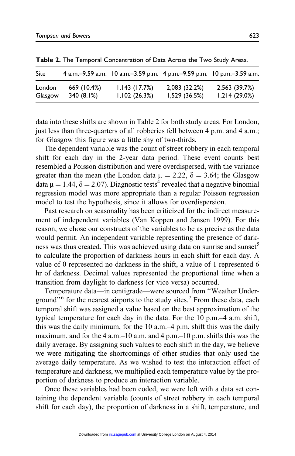| <b>Site</b> |             | 4 a.m. -9.59 a.m. 10 a.m. -3.59 p.m. 4 p.m. -9.59 p.m. 10 p.m. -3.59 a.m. |               |               |
|-------------|-------------|---------------------------------------------------------------------------|---------------|---------------|
| London      | 669 (10.4%) | 1,143(17.7%)                                                              | 2,083 (32.2%) | 2,563 (39.7%) |
| Glasgow     | 340(8.1%)   | 1,102(26.3%)                                                              | 1,529(36.5%)  | 1,214(29.0%)  |

Table 2. The Temporal Concentration of Data Across the Two Study Areas.

data into these shifts are shown in Table 2 for both study areas. For London, just less than three-quarters of all robberies fell between 4 p.m. and 4 a.m.; for Glasgow this figure was a little shy of two-thirds.

The dependent variable was the count of street robbery in each temporal shift for each day in the 2-year data period. These event counts best resembled a Poisson distribution and were overdispersed, with the variance greater than the mean (the London data  $\mu = 2.22$ ,  $\delta = 3.64$ ; the Glasgow data  $\mu = 1.44$ ,  $\delta = 2.07$ ). Diagnostic tests<sup>4</sup> revealed that a negative binomial regression model was more appropriate than a regular Poisson regression model to test the hypothesis, since it allows for overdispersion.

Past research on seasonality has been criticized for the indirect measurement of independent variables (Van Koppen and Jansen 1999). For this reason, we chose our constructs of the variables to be as precise as the data would permit. An independent variable representing the presence of darkness was thus created. This was achieved using data on sunrise and sunset<sup>5</sup> to calculate the proportion of darkness hours in each shift for each day. A value of 0 represented no darkness in the shift, a value of 1 represented 6 hr of darkness. Decimal values represented the proportional time when a transition from daylight to darkness (or vice versa) occurred.

Temperature data—in centigrade—were sourced from ''Weather Underground<sup> $\frac{1}{100}$ </sup> for the nearest airports to the study sites.<sup>7</sup> From these data, each temporal shift was assigned a value based on the best approximation of the typical temperature for each day in the data. For the 10 p.m.–4 a.m. shift, this was the daily minimum, for the 10 a.m.–4 p.m. shift this was the daily maximum, and for the 4 a.m.–10 a.m. and 4 p.m.–10 p.m. shifts this was the daily average. By assigning such values to each shift in the day, we believe we were mitigating the shortcomings of other studies that only used the average daily temperature. As we wished to test the interaction effect of temperature and darkness, we multiplied each temperature value by the proportion of darkness to produce an interaction variable.

Once these variables had been coded, we were left with a data set containing the dependent variable (counts of street robbery in each temporal shift for each day), the proportion of darkness in a shift, temperature, and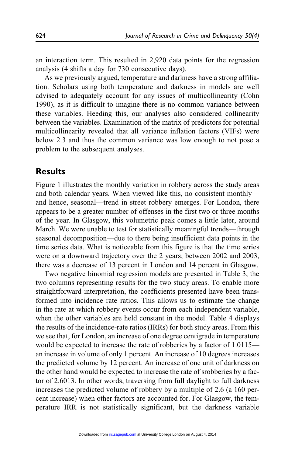an interaction term. This resulted in 2,920 data points for the regression analysis (4 shifts a day for 730 consecutive days).

As we previously argued, temperature and darkness have a strong affiliation. Scholars using both temperature and darkness in models are well advised to adequately account for any issues of multicollinearity (Cohn 1990), as it is difficult to imagine there is no common variance between these variables. Heeding this, our analyses also considered collinearity between the variables. Examination of the matrix of predictors for potential multicollinearity revealed that all variance inflation factors (VIFs) were below 2.3 and thus the common variance was low enough to not pose a problem to the subsequent analyses.

# Results

Figure 1 illustrates the monthly variation in robbery across the study areas and both calendar years. When viewed like this, no consistent monthly and hence, seasonal—trend in street robbery emerges. For London, there appears to be a greater number of offenses in the first two or three months of the year. In Glasgow, this volumetric peak comes a little later, around March. We were unable to test for statistically meaningful trends—through seasonal decomposition—due to there being insufficient data points in the time series data. What is noticeable from this figure is that the time series were on a downward trajectory over the 2 years; between 2002 and 2003, there was a decrease of 13 percent in London and 14 percent in Glasgow.

Two negative binomial regression models are presented in Table 3, the two columns representing results for the two study areas. To enable more straightforward interpretation, the coefficients presented have been transformed into incidence rate ratios. This allows us to estimate the change in the rate at which robbery events occur from each independent variable, when the other variables are held constant in the model. Table 4 displays the results of the incidence-rate ratios (IRRs) for both study areas. From this we see that, for London, an increase of one degree centigrade in temperature would be expected to increase the rate of robberies by a factor of 1.0115 an increase in volume of only 1 percent. An increase of 10 degrees increases the predicted volume by 12 percent. An increase of one unit of darkness on the other hand would be expected to increase the rate of srobberies by a factor of 2.6013. In other words, traversing from full daylight to full darkness increases the predicted volume of robbery by a multiple of 2.6 (a 160 percent increase) when other factors are accounted for. For Glasgow, the temperature IRR is not statistically significant, but the darkness variable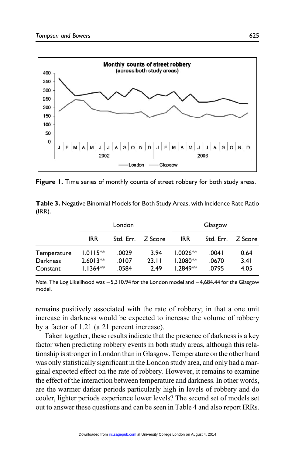

Figure 1. Time series of monthly counts of street robbery for both study areas.

| Table 3. Negative Binomial Models for Both Study Areas, with Incidence Rate Ratio |  |  |
|-----------------------------------------------------------------------------------|--|--|
| $(IRR)$ .                                                                         |  |  |

|                                            |                                        | London                  |                       |                                        | Glasgow                 |                      |  |
|--------------------------------------------|----------------------------------------|-------------------------|-----------------------|----------------------------------------|-------------------------|----------------------|--|
|                                            | <b>IRR</b>                             | Std. Err. Z Score       |                       | IRR.                                   | Std. Err. Z Score       |                      |  |
| Temperature<br><b>Darkness</b><br>Constant | $1.0115**$<br>$2.6013**$<br>$1.1364**$ | .0029<br>.0107<br>.0584 | 3.94<br>23.11<br>2.49 | $1.0026**$<br>$1.2080**$<br>$1.2849**$ | .0041<br>.0670<br>.0795 | 0.64<br>3.41<br>4.05 |  |

Note. The Log Likelihood was  $-5,310.94$  for the London model and  $-4,684.44$  for the Glasgow model.

remains positively associated with the rate of robbery; in that a one unit increase in darkness would be expected to increase the volume of robbery by a factor of 1.21 (a 21 percent increase).

Taken together, these results indicate that the presence of darkness is a key factor when predicting robbery events in both study areas, although this relationship is stronger in London than in Glasgow. Temperature on the other hand was only statistically significant in the London study area, and only had a marginal expected effect on the rate of robbery. However, it remains to examine the effect of the interaction between temperature and darkness. In other words, are the warmer darker periods particularly high in levels of robbery and do cooler, lighter periods experience lower levels? The second set of models set out to answer these questions and can be seen in Table 4 and also report IRRs.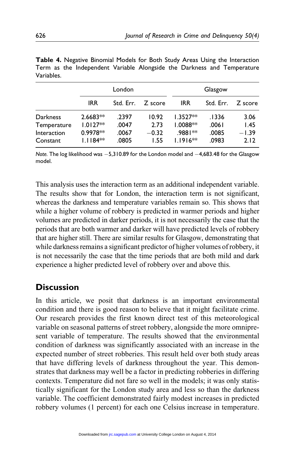|                                                    |                                                      | London                           |                                  |                                                     | Glasgow                          |                                 |  |
|----------------------------------------------------|------------------------------------------------------|----------------------------------|----------------------------------|-----------------------------------------------------|----------------------------------|---------------------------------|--|
|                                                    | <b>IRR</b>                                           | Std. Err.                        | Z score                          | IRR.                                                | Std. Err.                        | Z score                         |  |
| Darkness<br>Temperature<br>Interaction<br>Constant | $2.6683**$<br>$1.0127**$<br>$0.9978**$<br>$1.1184**$ | .2397<br>.0047<br>.0067<br>.0805 | 10.92<br>2.73<br>$-0.32$<br>1.55 | $1.3527**$<br>$1.0088**$<br>$.9881**$<br>$1.1916**$ | .1336<br>.0061<br>.0085<br>.0983 | 3.06<br>1.45<br>$-1.39$<br>2.12 |  |

|            |  |  |  |  | <b>Table 4.</b> Negative Binomial Models for Both Study Areas Using the Interaction |  |
|------------|--|--|--|--|-------------------------------------------------------------------------------------|--|
|            |  |  |  |  | Term as the Independent Variable Alongside the Darkness and Temperature             |  |
| Variables. |  |  |  |  |                                                                                     |  |

Note. The log likelihood was  $-5,310.89$  for the London model and  $-4,683.48$  for the Glasgow model.

This analysis uses the interaction term as an additional independent variable. The results show that for London, the interaction term is not significant, whereas the darkness and temperature variables remain so. This shows that while a higher volume of robbery is predicted in warmer periods and higher volumes are predicted in darker periods, it is not necessarily the case that the periods that are both warmer and darker will have predicted levels of robbery that are higher still. There are similar results for Glasgow, demonstrating that while darkness remains a significant predictor of higher volumes of robbery, it is not necessarily the case that the time periods that are both mild and dark experience a higher predicted level of robbery over and above this.

# **Discussion**

In this article, we posit that darkness is an important environmental condition and there is good reason to believe that it might facilitate crime. Our research provides the first known direct test of this meteorological variable on seasonal patterns of street robbery, alongside the more omnipresent variable of temperature. The results showed that the environmental condition of darkness was significantly associated with an increase in the expected number of street robberies. This result held over both study areas that have differing levels of darkness throughout the year. This demonstrates that darkness may well be a factor in predicting robberies in differing contexts. Temperature did not fare so well in the models; it was only statistically significant for the London study area and less so than the darkness variable. The coefficient demonstrated fairly modest increases in predicted robbery volumes (1 percent) for each one Celsius increase in temperature.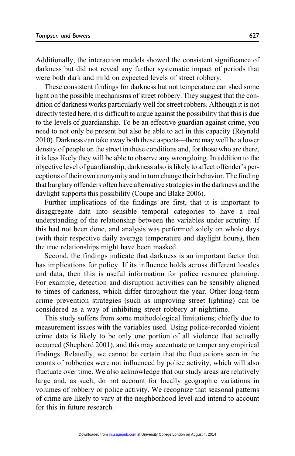Additionally, the interaction models showed the consistent significance of darkness but did not reveal any further systematic impact of periods that were both dark and mild on expected levels of street robbery.

These consistent findings for darkness but not temperature can shed some light on the possible mechanisms of street robbery. They suggest that the condition of darkness works particularly well for street robbers. Although it is not directly tested here, it is difficult to argue against the possibility that this is due to the levels of guardianship. To be an effective guardian against crime, you need to not only be present but also be able to act in this capacity (Reynald 2010). Darkness can take away both these aspects—there may well be a lower density of people on the street in these conditions and, for those who are there, it is less likely they will be able to observe any wrongdoing. In addition to the objective level of guardianship, darkness also is likely to affect offender's perceptions of their own anonymity and in turn change their behavior. The finding that burglary offenders often have alternative strategies in the darkness and the daylight supports this possibility (Coupe and Blake 2006).

Further implications of the findings are first, that it is important to disaggregate data into sensible temporal categories to have a real understanding of the relationship between the variables under scrutiny. If this had not been done, and analysis was performed solely on whole days (with their respective daily average temperature and daylight hours), then the true relationships might have been masked.

Second, the findings indicate that darkness is an important factor that has implications for policy. If its influence holds across different locales and data, then this is useful information for police resource planning. For example, detection and disruption activities can be sensibly aligned to times of darkness, which differ throughout the year. Other long-term crime prevention strategies (such as improving street lighting) can be considered as a way of inhibiting street robbery at nighttime.

This study suffers from some methodological limitations; chiefly due to measurement issues with the variables used. Using police-recorded violent crime data is likely to be only one portion of all violence that actually occurred (Shepherd 2001), and this may accentuate or temper any empirical findings. Relatedly, we cannot be certain that the fluctuations seen in the counts of robberies were not influenced by police activity, which will also fluctuate over time. We also acknowledge that our study areas are relatively large and, as such, do not account for locally geographic variations in volumes of robbery or police activity. We recognize that seasonal patterns of crime are likely to vary at the neighborhood level and intend to account for this in future research.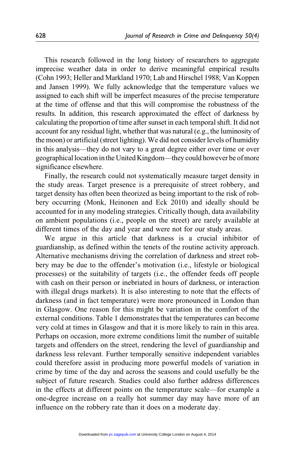This research followed in the long history of researchers to aggregate imprecise weather data in order to derive meaningful empirical results (Cohn 1993; Heller and Markland 1970; Lab and Hirschel 1988; Van Koppen and Jansen 1999). We fully acknowledge that the temperature values we assigned to each shift will be imperfect measures of the precise temperature at the time of offense and that this will compromise the robustness of the results. In addition, this research approximated the effect of darkness by calculating the proportion of time after sunset in each temporal shift. It did not account for any residual light, whether that was natural (e.g., the luminosity of the moon) or artificial (street lighting). We did not consider levels of humidity in this analysis—they do not vary to a great degree either over time or over geographical location in the United Kingdom—they could however be of more significance elsewhere.

Finally, the research could not systematically measure target density in the study areas. Target presence is a prerequisite of street robbery, and target density has often been theorized as being important to the risk of robbery occurring (Monk, Heinonen and Eck 2010) and ideally should be accounted for in any modeling strategies. Critically though, data availability on ambient populations (i.e., people on the street) are rarely available at different times of the day and year and were not for our study areas.

We argue in this article that darkness is a crucial inhibitor of guardianship, as defined within the tenets of the routine activity approach. Alternative mechanisms driving the correlation of darkness and street robbery may be due to the offender's motivation (i.e., lifestyle or biological processes) or the suitability of targets (i.e., the offender feeds off people with cash on their person or inebriated in hours of darkness, or interaction with illegal drugs markets). It is also interesting to note that the effects of darkness (and in fact temperature) were more pronounced in London than in Glasgow. One reason for this might be variation in the comfort of the external conditions. Table 1 demonstrates that the temperatures can become very cold at times in Glasgow and that it is more likely to rain in this area. Perhaps on occasion, more extreme conditions limit the number of suitable targets and offenders on the street, rendering the level of guardianship and darkness less relevant. Further temporally sensitive independent variables could therefore assist in producing more powerful models of variation in crime by time of the day and across the seasons and could usefully be the subject of future research. Studies could also further address differences in the effects at different points on the temperature scale—for example a one-degree increase on a really hot summer day may have more of an influence on the robbery rate than it does on a moderate day.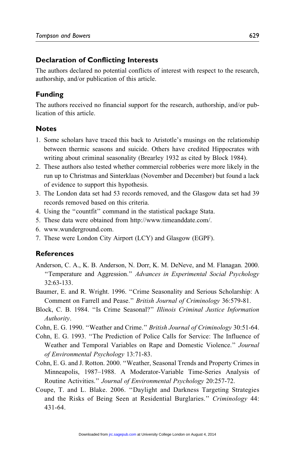#### Declaration of Conflicting Interests

The authors declared no potential conflicts of interest with respect to the research, authorship, and/or publication of this article.

#### Funding

The authors received no financial support for the research, authorship, and/or publication of this article.

### **Notes**

- 1. Some scholars have traced this back to Aristotle's musings on the relationship between thermic seasons and suicide. Others have credited Hippocrates with writing about criminal seasonality (Brearley 1932 as cited by Block 1984).
- 2. These authors also tested whether commercial robberies were more likely in the run up to Christmas and Sinterklaas (November and December) but found a lack of evidence to support this hypothesis.
- 3. The London data set had 53 records removed, and the Glasgow data set had 39 records removed based on this criteria.
- 4. Using the ''countfit'' command in the statistical package Stata.
- 5. These data were obtained from http://www.timeanddate.com/.
- 6. www.wunderground.com.
- 7. These were London City Airport (LCY) and Glasgow (EGPF).

#### References

- Anderson, C. A., K. B. Anderson, N. Dorr, K. M. DeNeve, and M. Flanagan. 2000. ''Temperature and Aggression.'' Advances in Experimental Social Psychology 32:63-133.
- Baumer, E. and R. Wright. 1996. "Crime Seasonality and Serious Scholarship: A Comment on Farrell and Pease.'' British Journal of Criminology 36:579-81.
- Block, C. B. 1984. ''Is Crime Seasonal?'' Illinois Criminal Justice Information Authority.
- Cohn, E. G. 1990. ''Weather and Crime.'' British Journal of Criminology 30:51-64.
- Cohn, E. G. 1993. ''The Prediction of Police Calls for Service: The Influence of Weather and Temporal Variables on Rape and Domestic Violence.'' Journal of Environmental Psychology 13:71-83.
- Cohn, E. G. and J. Rotton. 2000. ''Weather, Seasonal Trends and Property Crimes in Minneapolis, 1987–1988. A Moderator-Variable Time-Series Analysis of Routine Activities.'' Journal of Environmental Psychology 20:257-72.
- Coupe, T. and L. Blake. 2006. ''Daylight and Darkness Targeting Strategies and the Risks of Being Seen at Residential Burglaries.'' Criminology 44: 431-64.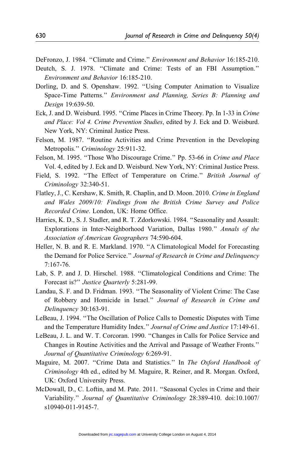DeFronzo, J. 1984. ''Climate and Crime.'' Environment and Behavior 16:185-210.

- Deutch, S. J. 1978. ''Climate and Crime: Tests of an FBI Assumption.'' Environment and Behavior 16:185-210.
- Dorling, D. and S. Openshaw. 1992. ''Using Computer Animation to Visualize Space-Time Patterns.'' Environment and Planning, Series B: Planning and Design 19:639-50.
- Eck, J. and D. Weisburd. 1995. "Crime Places in Crime Theory. Pp. In 1-33 in Crime and Place: Vol 4. Crime Prevention Studies, edited by J. Eck and D. Weisburd. New York, NY: Criminal Justice Press.
- Felson, M. 1987. ''Routine Activities and Crime Prevention in the Developing Metropolis." Criminology 25:911-32.
- Felson, M. 1995. "Those Who Discourage Crime." Pp. 53-66 in Crime and Place Vol. 4, edited by J. Eck and D. Weisburd. New York, NY: Criminal Justice Press.
- Field, S. 1992. "The Effect of Temperature on Crime." British Journal of Criminology 32:340-51.
- Flatley, J., C. Kershaw, K. Smith, R. Chaplin, and D. Moon. 2010. Crime in England and Wales 2009/10: Findings from the British Crime Survey and Police Recorded Crime. London, UK: Home Office.
- Harries, K. D., S. J. Stadler, and R. T. Zdorkowski. 1984. ''Seasonality and Assault: Explorations in Inter-Neighborhood Variation, Dallas 1980.'' Annals of the Association of American Geographers 74:590-604.
- Heller, N. B. and R. E. Markland. 1970. ''A Climatological Model for Forecasting the Demand for Police Service.'' Journal of Research in Crime and Delinquency 7:167-76.
- Lab, S. P. and J. D. Hirschel. 1988. ''Climatological Conditions and Crime: The Forecast is?'' Justice Quarterly 5:281-99.
- Landau, S. F. and D. Fridman. 1993. ''The Seasonality of Violent Crime: The Case of Robbery and Homicide in Israel.'' Journal of Research in Crime and Delinquency 30:163-91.
- LeBeau, J. 1994. ''The Oscillation of Police Calls to Domestic Disputes with Time and the Temperature Humidity Index." Journal of Crime and Justice 17:149-61.
- LeBeau, J. L. and W. T. Corcoran. 1990. ''Changes in Calls for Police Service and Changes in Routine Activities and the Arrival and Passage of Weather Fronts.'' Journal of Quantitative Criminology 6:269-91.
- Maguire, M. 2007. "Crime Data and Statistics." In The Oxford Handbook of Criminology 4th ed., edited by M. Maguire, R. Reiner, and R. Morgan. Oxford, UK: Oxford University Press.
- McDowall, D., C. Loftin, and M. Pate. 2011. ''Seasonal Cycles in Crime and their Variability.'' Journal of Quantitative Criminology 28:389-410. doi:10.1007/ s10940-011-9145-7.